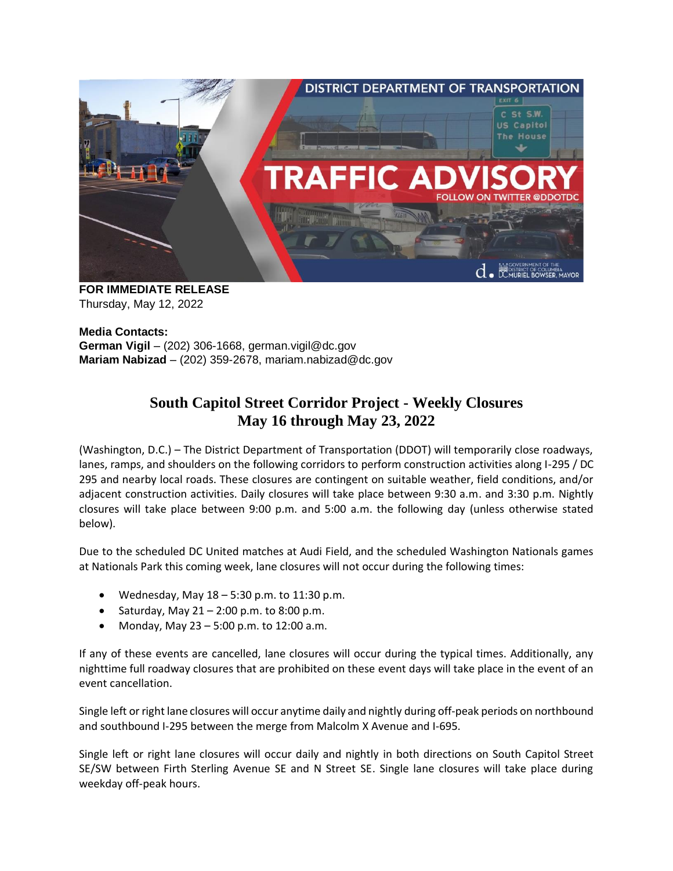

**FOR IMMEDIATE RELEASE** Thursday, May 12, 2022

**Media Contacts: German Vigil** – (202) 306-1668, [german.vigil@dc.gov](mailto:german.vigil@dc.gov) **Mariam Nabizad** – (202) 359-2678, [mariam.nabizad@dc.gov](mailto:mariam.nabizad@dc.gov)

## **South Capitol Street Corridor Project - Weekly Closures May 16 through May 23, 2022**

(Washington, D.C.) – The District Department of Transportation (DDOT) will temporarily close roadways, lanes, ramps, and shoulders on the following corridors to perform construction activities along I-295 / DC 295 and nearby local roads. These closures are contingent on suitable weather, field conditions, and/or adjacent construction activities. Daily closures will take place between 9:30 a.m. and 3:30 p.m. Nightly closures will take place between 9:00 p.m. and 5:00 a.m. the following day (unless otherwise stated below).

Due to the scheduled DC United matches at Audi Field, and the scheduled Washington Nationals games at Nationals Park this coming week, lane closures will not occur during the following times:

- Wednesday, May  $18 5:30$  p.m. to  $11:30$  p.m.
- Saturday, May  $21 2:00$  p.m. to 8:00 p.m.
- Monday, May 23 5:00 p.m. to 12:00 a.m.

If any of these events are cancelled, lane closures will occur during the typical times. Additionally, any nighttime full roadway closures that are prohibited on these event days will take place in the event of an event cancellation.

Single left or right lane closures will occur anytime daily and nightly during off-peak periods on northbound and southbound I-295 between the merge from Malcolm X Avenue and I-695.

Single left or right lane closures will occur daily and nightly in both directions on South Capitol Street SE/SW between Firth Sterling Avenue SE and N Street SE. Single lane closures will take place during weekday off-peak hours.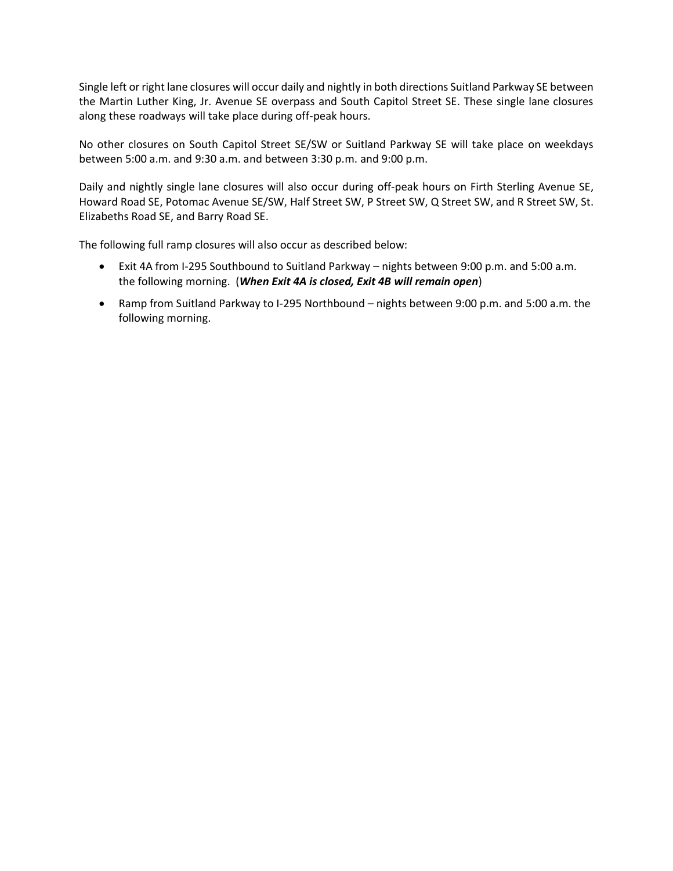Single left or right lane closures will occur daily and nightly in both directions Suitland Parkway SE between the Martin Luther King, Jr. Avenue SE overpass and South Capitol Street SE. These single lane closures along these roadways will take place during off-peak hours.

No other closures on South Capitol Street SE/SW or Suitland Parkway SE will take place on weekdays between 5:00 a.m. and 9:30 a.m. and between 3:30 p.m. and 9:00 p.m.

Daily and nightly single lane closures will also occur during off-peak hours on Firth Sterling Avenue SE, Howard Road SE, Potomac Avenue SE/SW, Half Street SW, P Street SW, Q Street SW, and R Street SW, St. Elizabeths Road SE, and Barry Road SE.

The following full ramp closures will also occur as described below:

- Exit 4A from I-295 Southbound to Suitland Parkway nights between 9:00 p.m. and 5:00 a.m. the following morning. (*When Exit 4A is closed, Exit 4B will remain open*)
- Ramp from Suitland Parkway to I-295 Northbound nights between 9:00 p.m. and 5:00 a.m. the following morning.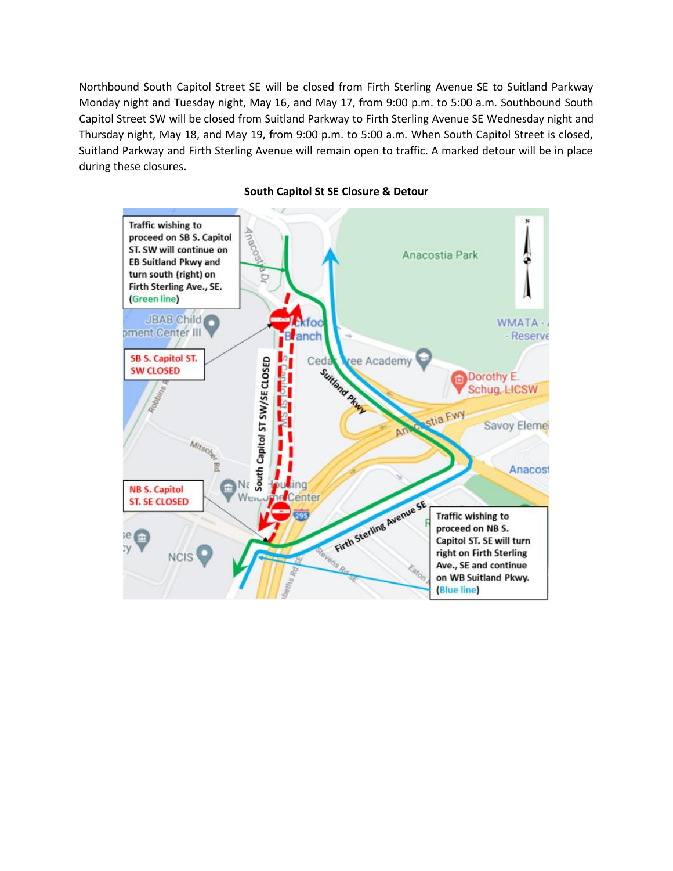Northbound South Capitol Street SE will be closed from Firth Sterling Avenue SE to Suitland Parkway Monday night and Tuesday night, May 16, and May 17, from 9:00 p.m. to 5:00 a.m. Southbound South Capitol Street SW will be closed from Suitland Parkway to Firth Sterling Avenue SE Wednesday night and Thursday night, May 18, and May 19, from 9:00 p.m. to 5:00 a.m. When South Capitol Street is closed, Suitland Parkway and Firth Sterling Avenue will remain open to traffic. A marked detour will be in place during these closures.



## **South Capitol St SE Closure & Detour**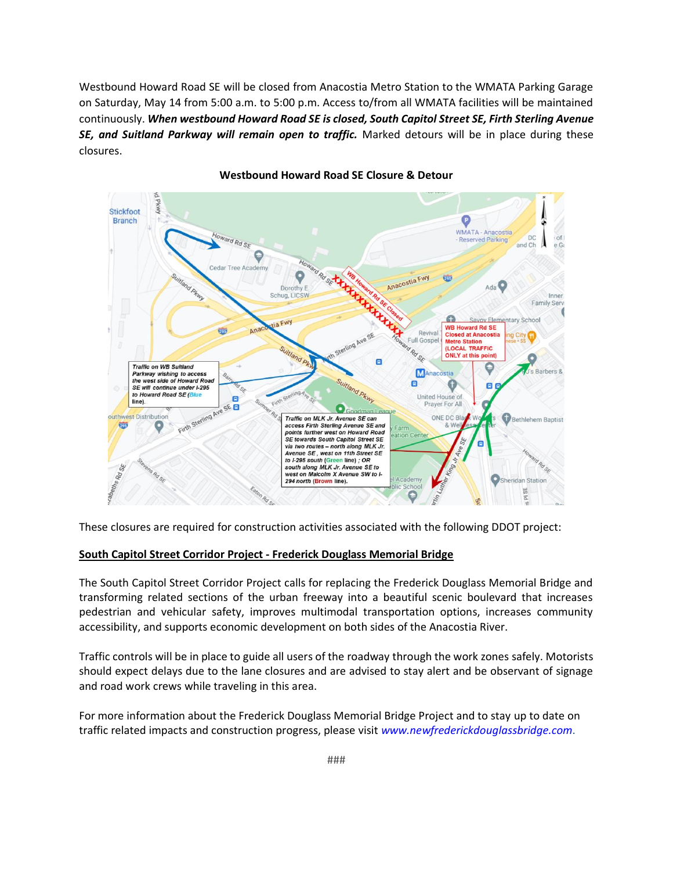Westbound Howard Road SE will be closed from Anacostia Metro Station to the WMATA Parking Garage on Saturday, May 14 from 5:00 a.m. to 5:00 p.m. Access to/from all WMATA facilities will be maintained continuously. *When westbound Howard Road SE is closed, South Capitol Street SE, Firth Sterling Avenue SE, and Suitland Parkway will remain open to traffic.* Marked detours will be in place during these closures.



## **Westbound Howard Road SE Closure & Detour**

These closures are required for construction activities associated with the following DDOT project:

## **South Capitol Street Corridor Project - Frederick Douglass Memorial Bridge**

The South Capitol Street Corridor Project calls for replacing the Frederick Douglass Memorial Bridge and transforming related sections of the urban freeway into a beautiful scenic boulevard that increases pedestrian and vehicular safety, improves multimodal transportation options, increases community accessibility, and supports economic development on both sides of the Anacostia River.

Traffic controls will be in place to guide all users of the roadway through the work zones safely. Motorists should expect delays due to the lane closures and are advised to stay alert and be observant of signage and road work crews while traveling in this area.

For more information about the Frederick Douglass Memorial Bridge Project and to stay up to date on traffic related impacts and construction progress, please visit *[www.newfrederickdouglassbridge.com](https://www.newfrederickdouglassbridge.com/)*.